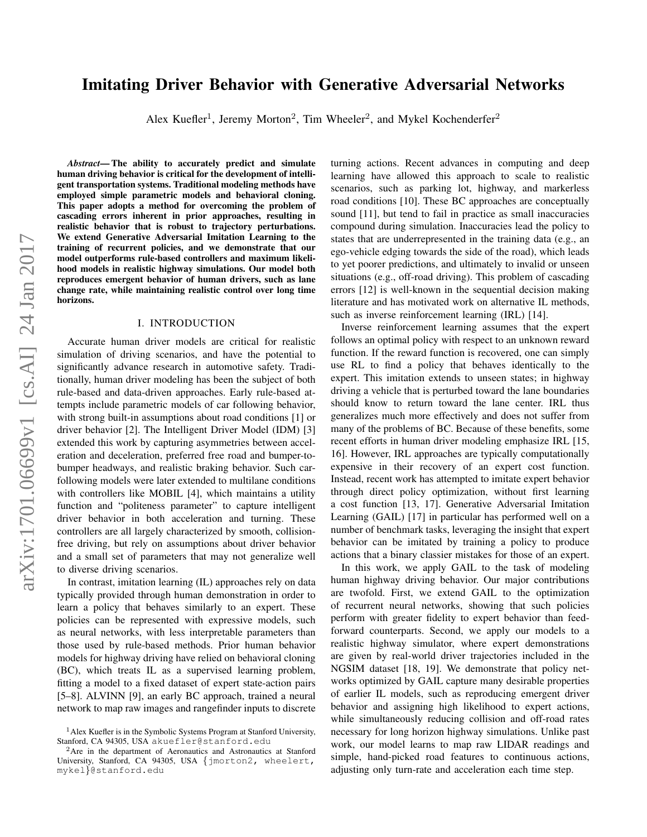# Imitating Driver Behavior with Generative Adversarial Networks

Alex Kuefler<sup>1</sup>, Jeremy Morton<sup>2</sup>, Tim Wheeler<sup>2</sup>, and Mykel Kochenderfer<sup>2</sup>

*Abstract*— The ability to accurately predict and simulate human driving behavior is critical for the development of intelligent transportation systems. Traditional modeling methods have employed simple parametric models and behavioral cloning. This paper adopts a method for overcoming the problem of cascading errors inherent in prior approaches, resulting in realistic behavior that is robust to trajectory perturbations. We extend Generative Adversarial Imitation Learning to the training of recurrent policies, and we demonstrate that our model outperforms rule-based controllers and maximum likelihood models in realistic highway simulations. Our model both reproduces emergent behavior of human drivers, such as lane change rate, while maintaining realistic control over long time horizons.

#### I. INTRODUCTION

Accurate human driver models are critical for realistic simulation of driving scenarios, and have the potential to significantly advance research in automotive safety. Traditionally, human driver modeling has been the subject of both rule-based and data-driven approaches. Early rule-based attempts include parametric models of car following behavior, with strong built-in assumptions about road conditions [\[1\]](#page-6-0) or driver behavior [\[2\]](#page-6-1). The Intelligent Driver Model (IDM) [\[3\]](#page-6-2) extended this work by capturing asymmetries between acceleration and deceleration, preferred free road and bumper-tobumper headways, and realistic braking behavior. Such carfollowing models were later extended to multilane conditions with controllers like MOBIL [\[4\]](#page-6-3), which maintains a utility function and "politeness parameter" to capture intelligent driver behavior in both acceleration and turning. These controllers are all largely characterized by smooth, collisionfree driving, but rely on assumptions about driver behavior and a small set of parameters that may not generalize well to diverse driving scenarios.

In contrast, imitation learning (IL) approaches rely on data typically provided through human demonstration in order to learn a policy that behaves similarly to an expert. These policies can be represented with expressive models, such as neural networks, with less interpretable parameters than those used by rule-based methods. Prior human behavior models for highway driving have relied on behavioral cloning (BC), which treats IL as a supervised learning problem, fitting a model to a fixed dataset of expert state-action pairs [\[5](#page-6-4)[–8\]](#page-6-5). ALVINN [\[9\]](#page-6-6), an early BC approach, trained a neural network to map raw images and rangefinder inputs to discrete turning actions. Recent advances in computing and deep learning have allowed this approach to scale to realistic scenarios, such as parking lot, highway, and markerless road conditions [\[10\]](#page-6-7). These BC approaches are conceptually sound [\[11\]](#page-6-8), but tend to fail in practice as small inaccuracies compound during simulation. Inaccuracies lead the policy to states that are underrepresented in the training data (e.g., an ego-vehicle edging towards the side of the road), which leads to yet poorer predictions, and ultimately to invalid or unseen situations (e.g., off-road driving). This problem of cascading errors [\[12\]](#page-6-9) is well-known in the sequential decision making literature and has motivated work on alternative IL methods, such as inverse reinforcement learning (IRL) [\[14\]](#page-6-10).

Inverse reinforcement learning assumes that the expert follows an optimal policy with respect to an unknown reward function. If the reward function is recovered, one can simply use RL to find a policy that behaves identically to the expert. This imitation extends to unseen states; in highway driving a vehicle that is perturbed toward the lane boundaries should know to return toward the lane center. IRL thus generalizes much more effectively and does not suffer from many of the problems of BC. Because of these benefits, some recent efforts in human driver modeling emphasize IRL [\[15,](#page-6-11) [16\]](#page-6-12). However, IRL approaches are typically computationally expensive in their recovery of an expert cost function. Instead, recent work has attempted to imitate expert behavior through direct policy optimization, without first learning a cost function [\[13,](#page-6-13) [17\]](#page-6-14). Generative Adversarial Imitation Learning (GAIL) [\[17\]](#page-6-14) in particular has performed well on a number of benchmark tasks, leveraging the insight that expert behavior can be imitated by training a policy to produce actions that a binary classier mistakes for those of an expert.

In this work, we apply GAIL to the task of modeling human highway driving behavior. Our major contributions are twofold. First, we extend GAIL to the optimization of recurrent neural networks, showing that such policies perform with greater fidelity to expert behavior than feedforward counterparts. Second, we apply our models to a realistic highway simulator, where expert demonstrations are given by real-world driver trajectories included in the NGSIM dataset [\[18,](#page-6-15) [19\]](#page-7-0). We demonstrate that policy networks optimized by GAIL capture many desirable properties of earlier IL models, such as reproducing emergent driver behavior and assigning high likelihood to expert actions, while simultaneously reducing collision and off-road rates necessary for long horizon highway simulations. Unlike past work, our model learns to map raw LIDAR readings and simple, hand-picked road features to continuous actions, adjusting only turn-rate and acceleration each time step.

<sup>1</sup>Alex Kuefler is in the Symbolic Systems Program at Stanford University, Stanford, CA 94305, USA akuefler@stanford.edu

<sup>2</sup>Are in the department of Aeronautics and Astronautics at Stanford University, Stanford, CA 94305, USA {jmorton2, wheelert, mykel}@stanford.edu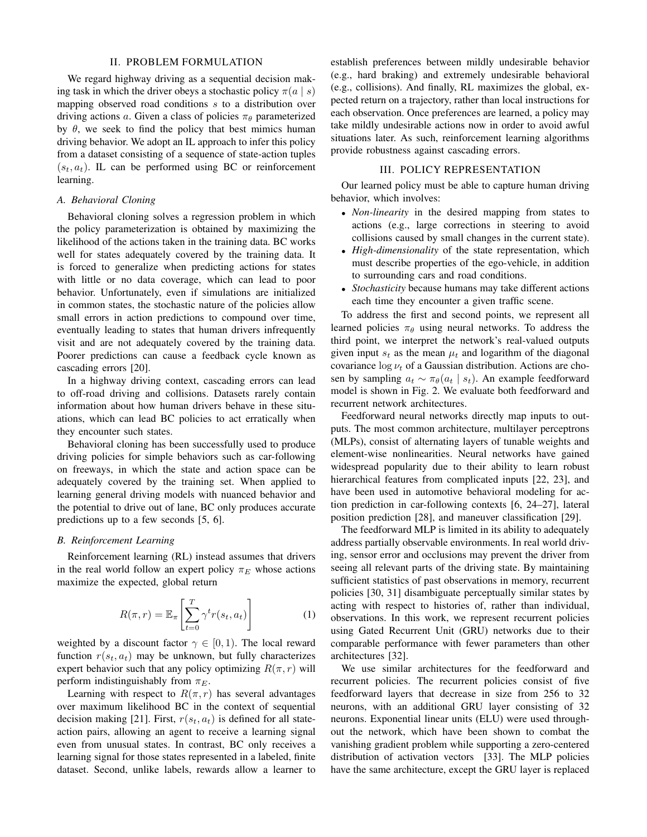#### II. PROBLEM FORMULATION

We regard highway driving as a sequential decision making task in which the driver obeys a stochastic policy  $\pi(a \mid s)$ mapping observed road conditions s to a distribution over driving actions a. Given a class of policies  $\pi_{\theta}$  parameterized by  $\theta$ , we seek to find the policy that best mimics human driving behavior. We adopt an IL approach to infer this policy from a dataset consisting of a sequence of state-action tuples  $(s_t, a_t)$ . IL can be performed using BC or reinforcement learning.

#### *A. Behavioral Cloning*

Behavioral cloning solves a regression problem in which the policy parameterization is obtained by maximizing the likelihood of the actions taken in the training data. BC works well for states adequately covered by the training data. It is forced to generalize when predicting actions for states with little or no data coverage, which can lead to poor behavior. Unfortunately, even if simulations are initialized in common states, the stochastic nature of the policies allow small errors in action predictions to compound over time, eventually leading to states that human drivers infrequently visit and are not adequately covered by the training data. Poorer predictions can cause a feedback cycle known as cascading errors [\[20\]](#page-7-1).

In a highway driving context, cascading errors can lead to off-road driving and collisions. Datasets rarely contain information about how human drivers behave in these situations, which can lead BC policies to act erratically when they encounter such states.

Behavioral cloning has been successfully used to produce driving policies for simple behaviors such as car-following on freeways, in which the state and action space can be adequately covered by the training set. When applied to learning general driving models with nuanced behavior and the potential to drive out of lane, BC only produces accurate predictions up to a few seconds [\[5,](#page-6-4) [6\]](#page-6-16).

#### *B. Reinforcement Learning*

Reinforcement learning (RL) instead assumes that drivers in the real world follow an expert policy  $\pi_E$  whose actions maximize the expected, global return

$$
R(\pi, r) = \mathbb{E}_{\pi} \left[ \sum_{t=0}^{T} \gamma^t r(s_t, a_t) \right]
$$
 (1)

weighted by a discount factor  $\gamma \in [0, 1)$ . The local reward function  $r(s_t, a_t)$  may be unknown, but fully characterizes expert behavior such that any policy optimizing  $R(\pi, r)$  will perform indistinguishably from  $\pi_E$ .

Learning with respect to  $R(\pi, r)$  has several advantages over maximum likelihood BC in the context of sequential decision making [\[21\]](#page-7-2). First,  $r(s_t, a_t)$  is defined for all stateaction pairs, allowing an agent to receive a learning signal even from unusual states. In contrast, BC only receives a learning signal for those states represented in a labeled, finite dataset. Second, unlike labels, rewards allow a learner to establish preferences between mildly undesirable behavior (e.g., hard braking) and extremely undesirable behavioral (e.g., collisions). And finally, RL maximizes the global, expected return on a trajectory, rather than local instructions for each observation. Once preferences are learned, a policy may take mildly undesirable actions now in order to avoid awful situations later. As such, reinforcement learning algorithms provide robustness against cascading errors.

#### III. POLICY REPRESENTATION

Our learned policy must be able to capture human driving behavior, which involves:

- *Non-linearity* in the desired mapping from states to actions (e.g., large corrections in steering to avoid collisions caused by small changes in the current state).
- *High-dimensionality* of the state representation, which must describe properties of the ego-vehicle, in addition to surrounding cars and road conditions.
- *Stochasticity* because humans may take different actions each time they encounter a given traffic scene.

To address the first and second points, we represent all learned policies  $\pi_{\theta}$  using neural networks. To address the third point, we interpret the network's real-valued outputs given input  $s_t$  as the mean  $\mu_t$  and logarithm of the diagonal covariance  $\log \nu_t$  of a Gaussian distribution. Actions are chosen by sampling  $a_t \sim \pi_{\theta}(a_t | s_t)$ . An example feedforward model is shown in Fig. [2.](#page-3-0) We evaluate both feedforward and recurrent network architectures.

Feedforward neural networks directly map inputs to outputs. The most common architecture, multilayer perceptrons (MLPs), consist of alternating layers of tunable weights and element-wise nonlinearities. Neural networks have gained widespread popularity due to their ability to learn robust hierarchical features from complicated inputs [\[22,](#page-7-3) [23\]](#page-7-4), and have been used in automotive behavioral modeling for action prediction in car-following contexts [\[6,](#page-6-16) [24](#page-7-5)[–27\]](#page-7-6), lateral position prediction [\[28\]](#page-7-7), and maneuver classification [\[29\]](#page-7-8).

The feedforward MLP is limited in its ability to adequately address partially observable environments. In real world driving, sensor error and occlusions may prevent the driver from seeing all relevant parts of the driving state. By maintaining sufficient statistics of past observations in memory, recurrent policies [\[30,](#page-7-9) [31\]](#page-7-10) disambiguate perceptually similar states by acting with respect to histories of, rather than individual, observations. In this work, we represent recurrent policies using Gated Recurrent Unit (GRU) networks due to their comparable performance with fewer parameters than other architectures [\[32\]](#page-7-11).

We use similar architectures for the feedforward and recurrent policies. The recurrent policies consist of five feedforward layers that decrease in size from 256 to 32 neurons, with an additional GRU layer consisting of 32 neurons. Exponential linear units (ELU) were used throughout the network, which have been shown to combat the vanishing gradient problem while supporting a zero-centered distribution of activation vectors [\[33\]](#page-7-12). The MLP policies have the same architecture, except the GRU layer is replaced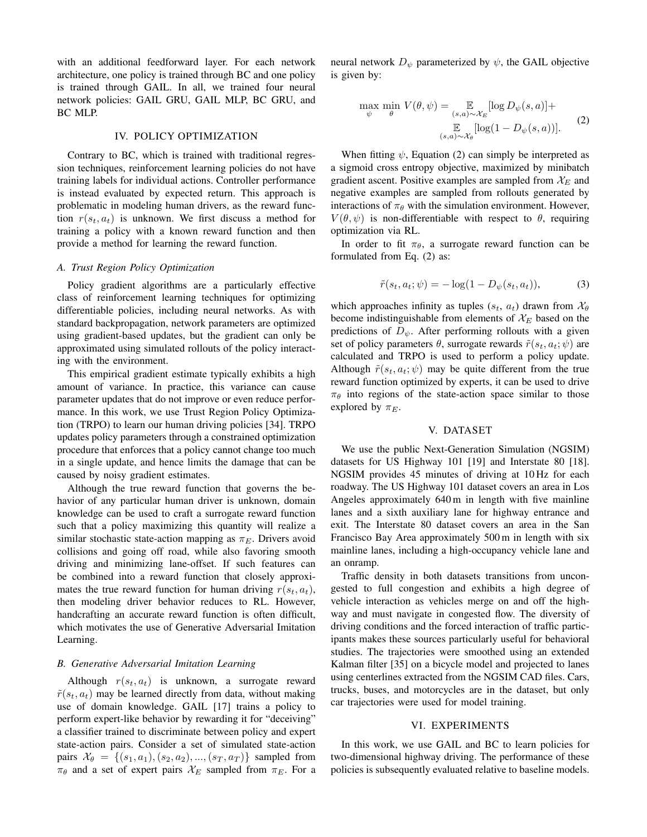with an additional feedforward layer. For each network architecture, one policy is trained through BC and one policy is trained through GAIL. In all, we trained four neural network policies: GAIL GRU, GAIL MLP, BC GRU, and BC MLP.

#### IV. POLICY OPTIMIZATION

Contrary to BC, which is trained with traditional regression techniques, reinforcement learning policies do not have training labels for individual actions. Controller performance is instead evaluated by expected return. This approach is problematic in modeling human drivers, as the reward function  $r(s_t, a_t)$  is unknown. We first discuss a method for training a policy with a known reward function and then provide a method for learning the reward function.

#### *A. Trust Region Policy Optimization*

Policy gradient algorithms are a particularly effective class of reinforcement learning techniques for optimizing differentiable policies, including neural networks. As with standard backpropagation, network parameters are optimized using gradient-based updates, but the gradient can only be approximated using simulated rollouts of the policy interacting with the environment.

This empirical gradient estimate typically exhibits a high amount of variance. In practice, this variance can cause parameter updates that do not improve or even reduce performance. In this work, we use Trust Region Policy Optimization (TRPO) to learn our human driving policies [\[34\]](#page-7-13). TRPO updates policy parameters through a constrained optimization procedure that enforces that a policy cannot change too much in a single update, and hence limits the damage that can be caused by noisy gradient estimates.

Although the true reward function that governs the behavior of any particular human driver is unknown, domain knowledge can be used to craft a surrogate reward function such that a policy maximizing this quantity will realize a similar stochastic state-action mapping as  $\pi_E$ . Drivers avoid collisions and going off road, while also favoring smooth driving and minimizing lane-offset. If such features can be combined into a reward function that closely approximates the true reward function for human driving  $r(s_t, a_t)$ , then modeling driver behavior reduces to RL. However, handcrafting an accurate reward function is often difficult, which motivates the use of Generative Adversarial Imitation Learning.

### *B. Generative Adversarial Imitation Learning*

Although  $r(s_t, a_t)$  is unknown, a surrogate reward  $\tilde{r}(s_t, a_t)$  may be learned directly from data, without making use of domain knowledge. GAIL [\[17\]](#page-6-14) trains a policy to perform expert-like behavior by rewarding it for "deceiving" a classifier trained to discriminate between policy and expert state-action pairs. Consider a set of simulated state-action pairs  $\mathcal{X}_{\theta} = \{(s_1, a_1), (s_2, a_2), ..., (s_T, a_T)\}\$  sampled from  $\pi_{\theta}$  and a set of expert pairs  $\mathcal{X}_E$  sampled from  $\pi_E$ . For a

neural network  $D_{\psi}$  parameterized by  $\psi$ , the GAIL objective is given by:

<span id="page-2-0"></span>
$$
\max_{\psi} \min_{\theta} V(\theta, \psi) = \mathop{\mathbb{E}}_{(s,a) \sim \mathcal{X}_E} [\log D_{\psi}(s, a)] +
$$
  

$$
\mathop{\mathbb{E}}_{(s,a) \sim \mathcal{X}_{\theta}} [\log(1 - D_{\psi}(s, a))].
$$
 (2)

When fitting  $\psi$ , Equation [\(2\)](#page-2-0) can simply be interpreted as a sigmoid cross entropy objective, maximized by minibatch gradient ascent. Positive examples are sampled from  $\mathcal{X}_E$  and negative examples are sampled from rollouts generated by interactions of  $\pi_{\theta}$  with the simulation environment. However,  $V(\theta, \psi)$  is non-differentiable with respect to  $\theta$ , requiring optimization via RL.

In order to fit  $\pi_{\theta}$ , a surrogate reward function can be formulated from Eq. [\(2\)](#page-2-0) as:

$$
\tilde{r}(s_t, a_t; \psi) = -\log(1 - D_{\psi}(s_t, a_t)),\tag{3}
$$

which approaches infinity as tuples  $(s_t, a_t)$  drawn from  $\mathcal{X}_{\theta}$ become indistinguishable from elements of  $\mathcal{X}_E$  based on the predictions of  $D_{\psi}$ . After performing rollouts with a given set of policy parameters  $\theta$ , surrogate rewards  $\tilde{r}(s_t, a_t; \psi)$  are calculated and TRPO is used to perform a policy update. Although  $\tilde{r}(s_t, a_t; \psi)$  may be quite different from the true reward function optimized by experts, it can be used to drive  $\pi_{\theta}$  into regions of the state-action space similar to those explored by  $\pi_E$ .

#### V. DATASET

We use the public Next-Generation Simulation (NGSIM) datasets for US Highway 101 [\[19\]](#page-7-0) and Interstate 80 [\[18\]](#page-6-15). NGSIM provides 45 minutes of driving at 10 Hz for each roadway. The US Highway 101 dataset covers an area in Los Angeles approximately 640 m in length with five mainline lanes and a sixth auxiliary lane for highway entrance and exit. The Interstate 80 dataset covers an area in the San Francisco Bay Area approximately 500 m in length with six mainline lanes, including a high-occupancy vehicle lane and an onramp.

Traffic density in both datasets transitions from uncongested to full congestion and exhibits a high degree of vehicle interaction as vehicles merge on and off the highway and must navigate in congested flow. The diversity of driving conditions and the forced interaction of traffic participants makes these sources particularly useful for behavioral studies. The trajectories were smoothed using an extended Kalman filter [\[35\]](#page-7-14) on a bicycle model and projected to lanes using centerlines extracted from the NGSIM CAD files. Cars, trucks, buses, and motorcycles are in the dataset, but only car trajectories were used for model training.

#### VI. EXPERIMENTS

In this work, we use GAIL and BC to learn policies for two-dimensional highway driving. The performance of these policies is subsequently evaluated relative to baseline models.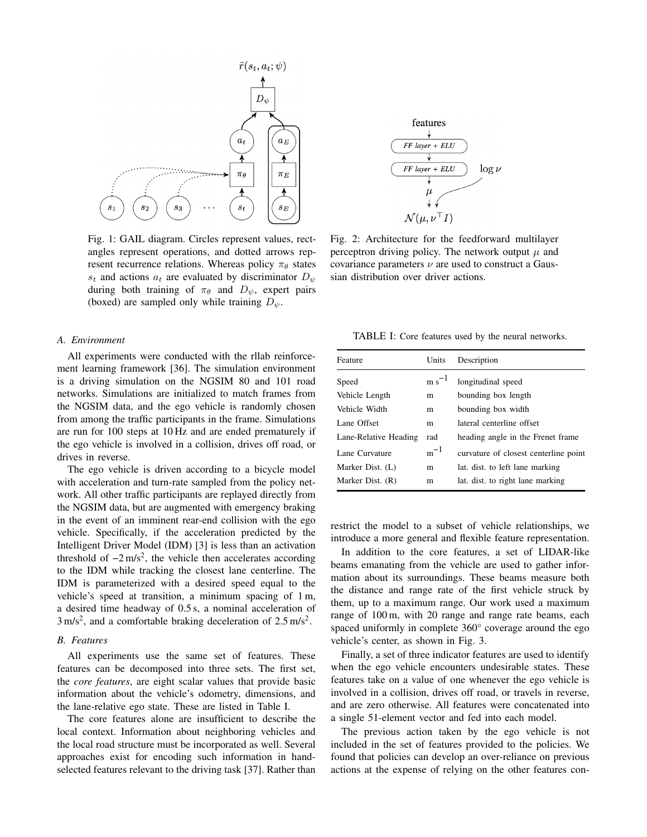<span id="page-3-0"></span>

Fig. 1: GAIL diagram. Circles represent values, rectangles represent operations, and dotted arrows represent recurrence relations. Whereas policy  $\pi_{\theta}$  states  $s_t$  and actions  $a_t$  are evaluated by discriminator  $D_{\psi}$ during both training of  $\pi_{\theta}$  and  $D_{\psi}$ , expert pairs (boxed) are sampled only while training  $D_{\psi}$ .

#### *A. Environment*

All experiments were conducted with the rllab reinforcement learning framework [\[36\]](#page-7-15). The simulation environment is a driving simulation on the NGSIM 80 and 101 road networks. Simulations are initialized to match frames from the NGSIM data, and the ego vehicle is randomly chosen from among the traffic participants in the frame. Simulations are run for 100 steps at 10 Hz and are ended prematurely if the ego vehicle is involved in a collision, drives off road, or drives in reverse.

The ego vehicle is driven according to a bicycle model with acceleration and turn-rate sampled from the policy network. All other traffic participants are replayed directly from the NGSIM data, but are augmented with emergency braking in the event of an imminent rear-end collision with the ego vehicle. Specifically, if the acceleration predicted by the Intelligent Driver Model (IDM) [\[3\]](#page-6-2) is less than an activation threshold of  $-2 \text{ m/s}^2$ , the vehicle then accelerates according to the IDM while tracking the closest lane centerline. The IDM is parameterized with a desired speed equal to the vehicle's speed at transition, a minimum spacing of 1 m, a desired time headway of 0.5 s, a nominal acceleration of  $3 \text{ m/s}^2$ , and a comfortable braking deceleration of  $2.5 \text{ m/s}^2$ .

#### *B. Features*

All experiments use the same set of features. These features can be decomposed into three sets. The first set, the *core features*, are eight scalar values that provide basic information about the vehicle's odometry, dimensions, and the lane-relative ego state. These are listed in Table [I.](#page-3-1)

The core features alone are insufficient to describe the local context. Information about neighboring vehicles and the local road structure must be incorporated as well. Several approaches exist for encoding such information in handselected features relevant to the driving task [\[37\]](#page-7-16). Rather than



Fig. 2: Architecture for the feedforward multilayer perceptron driving policy. The network output  $\mu$  and covariance parameters  $\nu$  are used to construct a Gaussian distribution over driver actions.

<span id="page-3-1"></span>TABLE I: Core features used by the neural networks.

| Feature               | Units      | Description                           |
|-----------------------|------------|---------------------------------------|
| Speed                 | $m s^{-1}$ | longitudinal speed                    |
| Vehicle Length        | m          | bounding box length                   |
| Vehicle Width         | m          | bounding box width                    |
| Lane Offset           | m          | lateral centerline offset             |
| Lane-Relative Heading | rad        | heading angle in the Frenet frame     |
| Lane Curvature        | $m^{-1}$   | curvature of closest centerline point |
| Marker Dist. (L)      | m          | lat. dist. to left lane marking       |
| Marker Dist. (R)      | m          | lat. dist. to right lane marking      |
|                       |            |                                       |

restrict the model to a subset of vehicle relationships, we introduce a more general and flexible feature representation.

In addition to the core features, a set of LIDAR-like beams emanating from the vehicle are used to gather information about its surroundings. These beams measure both the distance and range rate of the first vehicle struck by them, up to a maximum range. Our work used a maximum range of 100 m, with 20 range and range rate beams, each spaced uniformly in complete 360° coverage around the ego vehicle's center, as shown in Fig. [3.](#page-4-0)

Finally, a set of three indicator features are used to identify when the ego vehicle encounters undesirable states. These features take on a value of one whenever the ego vehicle is involved in a collision, drives off road, or travels in reverse, and are zero otherwise. All features were concatenated into a single 51-element vector and fed into each model.

The previous action taken by the ego vehicle is not included in the set of features provided to the policies. We found that policies can develop an over-reliance on previous actions at the expense of relying on the other features con-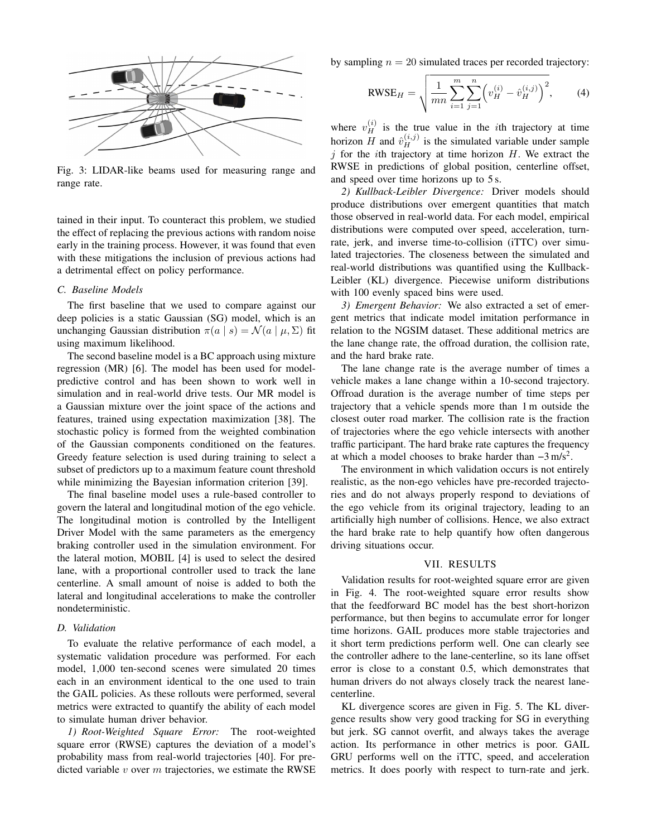<span id="page-4-0"></span>

Fig. 3: LIDAR-like beams used for measuring range and range rate.

tained in their input. To counteract this problem, we studied the effect of replacing the previous actions with random noise early in the training process. However, it was found that even with these mitigations the inclusion of previous actions had a detrimental effect on policy performance.

#### *C. Baseline Models*

The first baseline that we used to compare against our deep policies is a static Gaussian (SG) model, which is an unchanging Gaussian distribution  $\pi(a \mid s) = \mathcal{N}(a \mid \mu, \Sigma)$  fit using maximum likelihood.

The second baseline model is a BC approach using mixture regression (MR) [\[6\]](#page-6-16). The model has been used for modelpredictive control and has been shown to work well in simulation and in real-world drive tests. Our MR model is a Gaussian mixture over the joint space of the actions and features, trained using expectation maximization [\[38\]](#page-7-17). The stochastic policy is formed from the weighted combination of the Gaussian components conditioned on the features. Greedy feature selection is used during training to select a subset of predictors up to a maximum feature count threshold while minimizing the Bayesian information criterion [\[39\]](#page-7-18).

The final baseline model uses a rule-based controller to govern the lateral and longitudinal motion of the ego vehicle. The longitudinal motion is controlled by the Intelligent Driver Model with the same parameters as the emergency braking controller used in the simulation environment. For the lateral motion, MOBIL [\[4\]](#page-6-3) is used to select the desired lane, with a proportional controller used to track the lane centerline. A small amount of noise is added to both the lateral and longitudinal accelerations to make the controller nondeterministic.

### *D. Validation*

To evaluate the relative performance of each model, a systematic validation procedure was performed. For each model, 1,000 ten-second scenes were simulated 20 times each in an environment identical to the one used to train the GAIL policies. As these rollouts were performed, several metrics were extracted to quantify the ability of each model to simulate human driver behavior.

*1) Root-Weighted Square Error:* The root-weighted square error (RWSE) captures the deviation of a model's probability mass from real-world trajectories [\[40\]](#page-7-19). For predicted variable  $v$  over  $m$  trajectories, we estimate the RWSE

by sampling  $n = 20$  simulated traces per recorded trajectory:

$$
RWSE_H = \sqrt{\frac{1}{mn} \sum_{i=1}^{m} \sum_{j=1}^{n} \left( v_H^{(i)} - \hat{v}_H^{(i,j)} \right)^2}, \quad (4)
$$

where  $v_H^{(i)}$  is the true value in the *i*th trajectory at time horizon H and  $\hat{v}_H^{(i,j)}$  is the simulated variable under sample  $j$  for the *i*th trajectory at time horizon  $H$ . We extract the RWSE in predictions of global position, centerline offset, and speed over time horizons up to 5 s.

*2) Kullback-Leibler Divergence:* Driver models should produce distributions over emergent quantities that match those observed in real-world data. For each model, empirical distributions were computed over speed, acceleration, turnrate, jerk, and inverse time-to-collision (iTTC) over simulated trajectories. The closeness between the simulated and real-world distributions was quantified using the Kullback-Leibler (KL) divergence. Piecewise uniform distributions with 100 evenly spaced bins were used.

*3) Emergent Behavior:* We also extracted a set of emergent metrics that indicate model imitation performance in relation to the NGSIM dataset. These additional metrics are the lane change rate, the offroad duration, the collision rate, and the hard brake rate.

The lane change rate is the average number of times a vehicle makes a lane change within a 10-second trajectory. Offroad duration is the average number of time steps per trajectory that a vehicle spends more than 1 m outside the closest outer road marker. The collision rate is the fraction of trajectories where the ego vehicle intersects with another traffic participant. The hard brake rate captures the frequency at which a model chooses to brake harder than  $-3 \text{ m/s}^2$ .

The environment in which validation occurs is not entirely realistic, as the non-ego vehicles have pre-recorded trajectories and do not always properly respond to deviations of the ego vehicle from its original trajectory, leading to an artificially high number of collisions. Hence, we also extract the hard brake rate to help quantify how often dangerous driving situations occur.

#### VII. RESULTS

Validation results for root-weighted square error are given in Fig. [4.](#page-5-0) The root-weighted square error results show that the feedforward BC model has the best short-horizon performance, but then begins to accumulate error for longer time horizons. GAIL produces more stable trajectories and it short term predictions perform well. One can clearly see the controller adhere to the lane-centerline, so its lane offset error is close to a constant 0.5, which demonstrates that human drivers do not always closely track the nearest lanecenterline.

KL divergence scores are given in Fig. [5.](#page-5-1) The KL divergence results show very good tracking for SG in everything but jerk. SG cannot overfit, and always takes the average action. Its performance in other metrics is poor. GAIL GRU performs well on the iTTC, speed, and acceleration metrics. It does poorly with respect to turn-rate and jerk.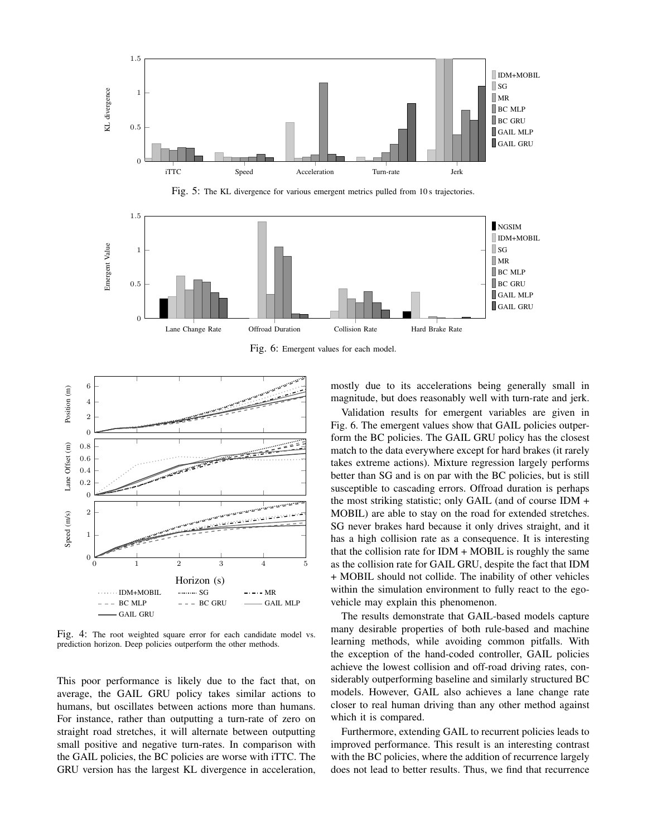<span id="page-5-1"></span>

Fig. 5: The KL divergence for various emergent metrics pulled from 10 s trajectories.

<span id="page-5-2"></span>

Fig. 6: Emergent values for each model.

<span id="page-5-0"></span>

Fig. 4: The root weighted square error for each candidate model vs. prediction horizon. Deep policies outperform the other methods.

This poor performance is likely due to the fact that, on average, the GAIL GRU policy takes similar actions to humans, but oscillates between actions more than humans. For instance, rather than outputting a turn-rate of zero on straight road stretches, it will alternate between outputting small positive and negative turn-rates. In comparison with the GAIL policies, the BC policies are worse with iTTC. The GRU version has the largest KL divergence in acceleration,

mostly due to its accelerations being generally small in magnitude, but does reasonably well with turn-rate and jerk.

Validation results for emergent variables are given in Fig. [6.](#page-5-2) The emergent values show that GAIL policies outperform the BC policies. The GAIL GRU policy has the closest match to the data everywhere except for hard brakes (it rarely takes extreme actions). Mixture regression largely performs better than SG and is on par with the BC policies, but is still susceptible to cascading errors. Offroad duration is perhaps the most striking statistic; only GAIL (and of course IDM + MOBIL) are able to stay on the road for extended stretches. SG never brakes hard because it only drives straight, and it has a high collision rate as a consequence. It is interesting that the collision rate for  $IDM + MOBIL$  is roughly the same as the collision rate for GAIL GRU, despite the fact that IDM + MOBIL should not collide. The inability of other vehicles within the simulation environment to fully react to the egovehicle may explain this phenomenon.

The results demonstrate that GAIL-based models capture many desirable properties of both rule-based and machine learning methods, while avoiding common pitfalls. With the exception of the hand-coded controller, GAIL policies achieve the lowest collision and off-road driving rates, considerably outperforming baseline and similarly structured BC models. However, GAIL also achieves a lane change rate closer to real human driving than any other method against which it is compared.

Furthermore, extending GAIL to recurrent policies leads to improved performance. This result is an interesting contrast with the BC policies, where the addition of recurrence largely does not lead to better results. Thus, we find that recurrence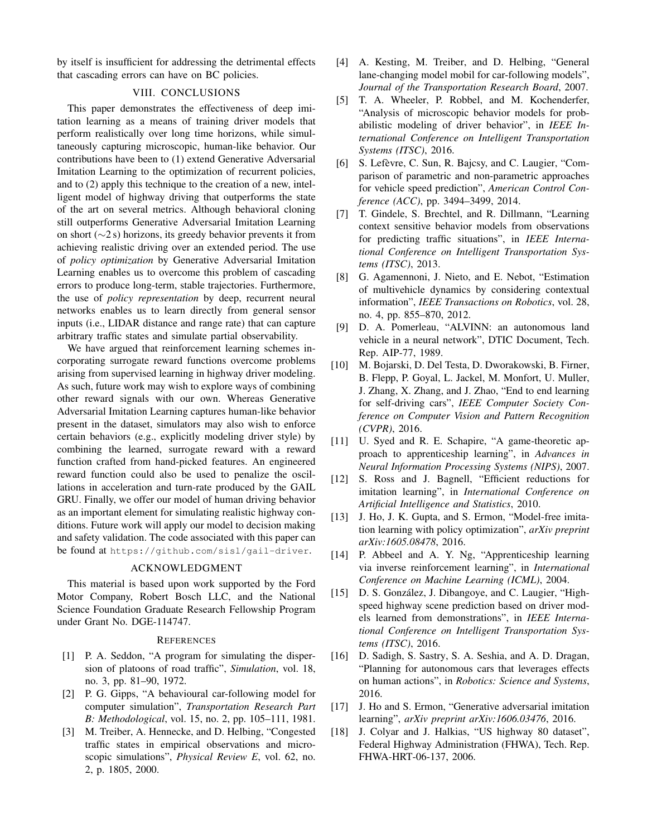by itself is insufficient for addressing the detrimental effects that cascading errors can have on BC policies.

## VIII. CONCLUSIONS

This paper demonstrates the effectiveness of deep imitation learning as a means of training driver models that perform realistically over long time horizons, while simultaneously capturing microscopic, human-like behavior. Our contributions have been to (1) extend Generative Adversarial Imitation Learning to the optimization of recurrent policies, and to (2) apply this technique to the creation of a new, intelligent model of highway driving that outperforms the state of the art on several metrics. Although behavioral cloning still outperforms Generative Adversarial Imitation Learning on short (∼2 s) horizons, its greedy behavior prevents it from achieving realistic driving over an extended period. The use of *policy optimization* by Generative Adversarial Imitation Learning enables us to overcome this problem of cascading errors to produce long-term, stable trajectories. Furthermore, the use of *policy representation* by deep, recurrent neural networks enables us to learn directly from general sensor inputs (i.e., LIDAR distance and range rate) that can capture arbitrary traffic states and simulate partial observability.

We have argued that reinforcement learning schemes incorporating surrogate reward functions overcome problems arising from supervised learning in highway driver modeling. As such, future work may wish to explore ways of combining other reward signals with our own. Whereas Generative Adversarial Imitation Learning captures human-like behavior present in the dataset, simulators may also wish to enforce certain behaviors (e.g., explicitly modeling driver style) by combining the learned, surrogate reward with a reward function crafted from hand-picked features. An engineered reward function could also be used to penalize the oscillations in acceleration and turn-rate produced by the GAIL GRU. Finally, we offer our model of human driving behavior as an important element for simulating realistic highway conditions. Future work will apply our model to decision making and safety validation. The code associated with this paper can be found at https://github.com/sisl/gail-driver.

#### ACKNOWLEDGMENT

This material is based upon work supported by the Ford Motor Company, Robert Bosch LLC, and the National Science Foundation Graduate Research Fellowship Program under Grant No. DGE-114747.

#### **REFERENCES**

- <span id="page-6-0"></span>[1] P. A. Seddon, "A program for simulating the dispersion of platoons of road traffic", *Simulation*, vol. 18, no. 3, pp. 81–90, 1972.
- <span id="page-6-1"></span>[2] P. G. Gipps, "A behavioural car-following model for computer simulation", *Transportation Research Part B: Methodological*, vol. 15, no. 2, pp. 105–111, 1981.
- <span id="page-6-2"></span>[3] M. Treiber, A. Hennecke, and D. Helbing, "Congested traffic states in empirical observations and microscopic simulations", *Physical Review E*, vol. 62, no. 2, p. 1805, 2000.
- <span id="page-6-3"></span>[4] A. Kesting, M. Treiber, and D. Helbing, "General lane-changing model mobil for car-following models", *Journal of the Transportation Research Board*, 2007.
- <span id="page-6-4"></span>[5] T. A. Wheeler, P. Robbel, and M. Kochenderfer, "Analysis of microscopic behavior models for probabilistic modeling of driver behavior", in *IEEE International Conference on Intelligent Transportation Systems (ITSC)*, 2016.
- <span id="page-6-16"></span>[6] S. Lefèvre, C. Sun, R. Bajcsy, and C. Laugier, "Comparison of parametric and non-parametric approaches for vehicle speed prediction", *American Control Conference (ACC)*, pp. 3494–3499, 2014.
- [7] T. Gindele, S. Brechtel, and R. Dillmann, "Learning context sensitive behavior models from observations for predicting traffic situations", in *IEEE International Conference on Intelligent Transportation Systems (ITSC)*, 2013.
- <span id="page-6-5"></span>[8] G. Agamennoni, J. Nieto, and E. Nebot, "Estimation of multivehicle dynamics by considering contextual information", *IEEE Transactions on Robotics*, vol. 28, no. 4, pp. 855–870, 2012.
- <span id="page-6-6"></span>[9] D. A. Pomerleau, "ALVINN: an autonomous land vehicle in a neural network", DTIC Document, Tech. Rep. AIP-77, 1989.
- <span id="page-6-7"></span>[10] M. Bojarski, D. Del Testa, D. Dworakowski, B. Firner, B. Flepp, P. Goyal, L. Jackel, M. Monfort, U. Muller, J. Zhang, X. Zhang, and J. Zhao, "End to end learning for self-driving cars", *IEEE Computer Society Conference on Computer Vision and Pattern Recognition (CVPR)*, 2016.
- <span id="page-6-8"></span>[11] U. Syed and R. E. Schapire, "A game-theoretic approach to apprenticeship learning", in *Advances in Neural Information Processing Systems (NIPS)*, 2007.
- <span id="page-6-9"></span>[12] S. Ross and J. Bagnell, "Efficient reductions for imitation learning", in *International Conference on Artificial Intelligence and Statistics*, 2010.
- <span id="page-6-13"></span>[13] J. Ho, J. K. Gupta, and S. Ermon, "Model-free imitation learning with policy optimization", *arXiv preprint arXiv:1605.08478*, 2016.
- <span id="page-6-10"></span>[14] P. Abbeel and A. Y. Ng, "Apprenticeship learning via inverse reinforcement learning", in *International Conference on Machine Learning (ICML)*, 2004.
- <span id="page-6-11"></span>[15] D. S. González, J. Dibangoye, and C. Laugier, "Highspeed highway scene prediction based on driver models learned from demonstrations", in *IEEE International Conference on Intelligent Transportation Systems (ITSC)*, 2016.
- <span id="page-6-12"></span>[16] D. Sadigh, S. Sastry, S. A. Seshia, and A. D. Dragan, "Planning for autonomous cars that leverages effects on human actions", in *Robotics: Science and Systems*, 2016.
- <span id="page-6-14"></span>[17] J. Ho and S. Ermon, "Generative adversarial imitation learning", *arXiv preprint arXiv:1606.03476*, 2016.
- <span id="page-6-15"></span>[18] J. Colyar and J. Halkias, "US highway 80 dataset", Federal Highway Administration (FHWA), Tech. Rep. FHWA-HRT-06-137, 2006.